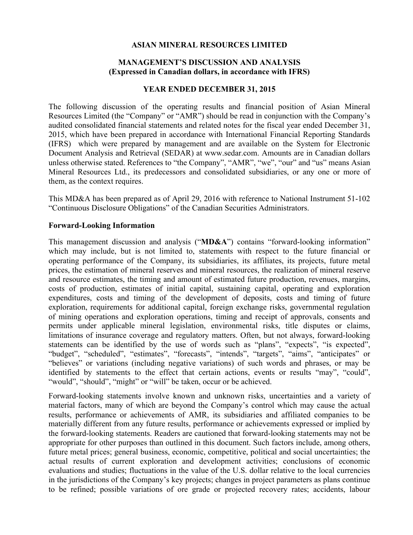### **ASIAN MINERAL RESOURCES LIMITED**

### **MANAGEMENT'S DISCUSSION AND ANALYSIS (Expressed in Canadian dollars, in accordance with IFRS)**

### **YEAR ENDED DECEMBER 31, 2015**

The following discussion of the operating results and financial position of Asian Mineral Resources Limited (the "Company" or "AMR") should be read in conjunction with the Company's audited consolidated financial statements and related notes for the fiscal year ended December 31, 2015, which have been prepared in accordance with International Financial Reporting Standards (IFRS) which were prepared by management and are available on the System for Electronic Document Analysis and Retrieval (SEDAR) at www.sedar.com. Amounts are in Canadian dollars unless otherwise stated. References to "the Company", "AMR", "we", "our" and "us" means Asian Mineral Resources Ltd., its predecessors and consolidated subsidiaries, or any one or more of them, as the context requires.

This MD&A has been prepared as of April 29, 2016 with reference to National Instrument 51-102 "Continuous Disclosure Obligations" of the Canadian Securities Administrators.

#### **Forward-Looking Information**

This management discussion and analysis ("**MD&A**") contains "forward-looking information" which may include, but is not limited to, statements with respect to the future financial or operating performance of the Company, its subsidiaries, its affiliates, its projects, future metal prices, the estimation of mineral reserves and mineral resources, the realization of mineral reserve and resource estimates, the timing and amount of estimated future production, revenues, margins, costs of production, estimates of initial capital, sustaining capital, operating and exploration expenditures, costs and timing of the development of deposits, costs and timing of future exploration, requirements for additional capital, foreign exchange risks, governmental regulation of mining operations and exploration operations, timing and receipt of approvals, consents and permits under applicable mineral legislation, environmental risks, title disputes or claims, limitations of insurance coverage and regulatory matters. Often, but not always, forward-looking statements can be identified by the use of words such as "plans", "expects", "is expected", "budget", "scheduled", "estimates", "forecasts", "intends", "targets", "aims", "anticipates" or "believes" or variations (including negative variations) of such words and phrases, or may be identified by statements to the effect that certain actions, events or results "may", "could", "would", "should", "might" or "will" be taken, occur or be achieved.

Forward-looking statements involve known and unknown risks, uncertainties and a variety of material factors, many of which are beyond the Company's control which may cause the actual results, performance or achievements of AMR, its subsidiaries and affiliated companies to be materially different from any future results, performance or achievements expressed or implied by the forward-looking statements. Readers are cautioned that forward-looking statements may not be appropriate for other purposes than outlined in this document. Such factors include, among others, future metal prices; general business, economic, competitive, political and social uncertainties; the actual results of current exploration and development activities; conclusions of economic evaluations and studies; fluctuations in the value of the U.S. dollar relative to the local currencies in the jurisdictions of the Company's key projects; changes in project parameters as plans continue to be refined; possible variations of ore grade or projected recovery rates; accidents, labour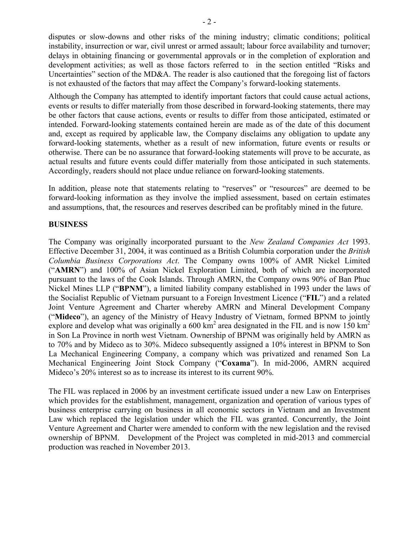disputes or slow-downs and other risks of the mining industry; climatic conditions; political instability, insurrection or war, civil unrest or armed assault; labour force availability and turnover; delays in obtaining financing or governmental approvals or in the completion of exploration and development activities; as well as those factors referred to in the section entitled "Risks and Uncertainties" section of the MD&A. The reader is also cautioned that the foregoing list of factors is not exhausted of the factors that may affect the Company's forward-looking statements.

Although the Company has attempted to identify important factors that could cause actual actions, events or results to differ materially from those described in forward-looking statements, there may be other factors that cause actions, events or results to differ from those anticipated, estimated or intended. Forward-looking statements contained herein are made as of the date of this document and, except as required by applicable law, the Company disclaims any obligation to update any forward-looking statements, whether as a result of new information, future events or results or otherwise. There can be no assurance that forward-looking statements will prove to be accurate, as actual results and future events could differ materially from those anticipated in such statements. Accordingly, readers should not place undue reliance on forward-looking statements.

In addition, please note that statements relating to "reserves" or "resources" are deemed to be forward-looking information as they involve the implied assessment, based on certain estimates and assumptions, that, the resources and reserves described can be profitably mined in the future.

#### **BUSINESS**

The Company was originally incorporated pursuant to the *New Zealand Companies Act* 1993. Effective December 31, 2004, it was continued as a British Columbia corporation under the *British Columbia Business Corporations Act*. The Company owns 100% of AMR Nickel Limited ("**AMRN**") and 100% of Asian Nickel Exploration Limited, both of which are incorporated pursuant to the laws of the Cook Islands. Through AMRN, the Company owns 90% of Ban Phuc Nickel Mines LLP ("**BPNM**"), a limited liability company established in 1993 under the laws of the Socialist Republic of Vietnam pursuant to a Foreign Investment Licence ("**FIL**") and a related Joint Venture Agreement and Charter whereby AMRN and Mineral Development Company ("**Mideco**"), an agency of the Ministry of Heavy Industry of Vietnam, formed BPNM to jointly explore and develop what was originally a 600 km<sup>2</sup> area designated in the FIL and is now 150 km<sup>2</sup> in Son La Province in north west Vietnam. Ownership of BPNM was originally held by AMRN as to 70% and by Mideco as to 30%. Mideco subsequently assigned a 10% interest in BPNM to Son La Mechanical Engineering Company, a company which was privatized and renamed Son La Mechanical Engineering Joint Stock Company ("**Coxama**"). In mid-2006, AMRN acquired Mideco's 20% interest so as to increase its interest to its current 90%.

The FIL was replaced in 2006 by an investment certificate issued under a new Law on Enterprises which provides for the establishment, management, organization and operation of various types of business enterprise carrying on business in all economic sectors in Vietnam and an Investment Law which replaced the legislation under which the FIL was granted. Concurrently, the Joint Venture Agreement and Charter were amended to conform with the new legislation and the revised ownership of BPNM. Development of the Project was completed in mid-2013 and commercial production was reached in November 2013.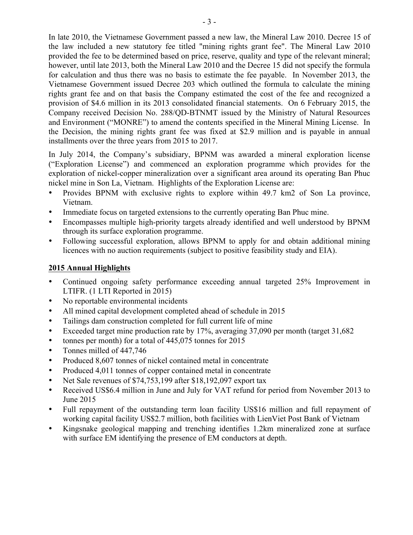In late 2010, the Vietnamese Government passed a new law, the Mineral Law 2010. Decree 15 of the law included a new statutory fee titled "mining rights grant fee". The Mineral Law 2010 provided the fee to be determined based on price, reserve, quality and type of the relevant mineral; however, until late 2013, both the Mineral Law 2010 and the Decree 15 did not specify the formula for calculation and thus there was no basis to estimate the fee payable. In November 2013, the Vietnamese Government issued Decree 203 which outlined the formula to calculate the mining rights grant fee and on that basis the Company estimated the cost of the fee and recognized a provision of \$4.6 million in its 2013 consolidated financial statements. On 6 February 2015, the Company received Decision No. 288/QD-BTNMT issued by the Ministry of Natural Resources and Environment ("MONRE") to amend the contents specified in the Mineral Mining License. In the Decision, the mining rights grant fee was fixed at \$2.9 million and is payable in annual installments over the three years from 2015 to 2017.

In July 2014, the Company's subsidiary, BPNM was awarded a mineral exploration license ("Exploration License") and commenced an exploration programme which provides for the exploration of nickel-copper mineralization over a significant area around its operating Ban Phuc nickel mine in Son La, Vietnam. Highlights of the Exploration License are:

- Provides BPNM with exclusive rights to explore within 49.7 km2 of Son La province, Vietnam.
- Immediate focus on targeted extensions to the currently operating Ban Phuc mine.
- Encompasses multiple high-priority targets already identified and well understood by BPNM through its surface exploration programme.
- Following successful exploration, allows BPNM to apply for and obtain additional mining licences with no auction requirements (subject to positive feasibility study and EIA).

### **2015 Annual Highlights**

- Continued ongoing safety performance exceeding annual targeted 25% Improvement in LTIFR. (1 LTI Reported in 2015)
- No reportable environmental incidents
- All mined capital development completed ahead of schedule in 2015
- Tailings dam construction completed for full current life of mine
- Exceeded target mine production rate by 17%, averaging 37,090 per month (target 31,682
- tonnes per month) for a total of 445,075 tonnes for 2015
- Tonnes milled of 447,746
- Produced 8,607 tonnes of nickel contained metal in concentrate
- Produced 4,011 tonnes of copper contained metal in concentrate
- Net Sale revenues of \$74,753,199 after \$18,192,097 export tax
- Received US\$6.4 million in June and July for VAT refund for period from November 2013 to June 2015
- Full repayment of the outstanding term loan facility US\$16 million and full repayment of working capital facility US\$2.7 million, both facilities with LienViet Post Bank of Vietnam
- Kingsnake geological mapping and trenching identifies 1.2km mineralized zone at surface with surface EM identifying the presence of EM conductors at depth.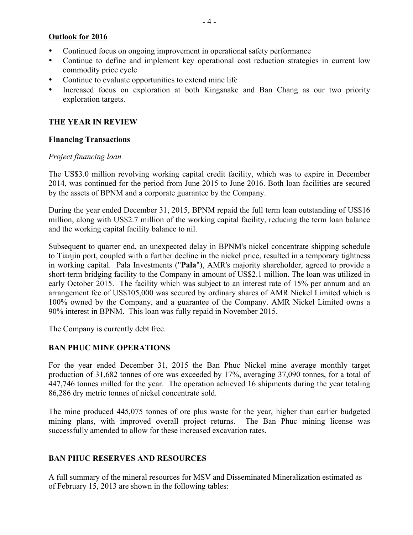### **Outlook for 2016**

- Continued focus on ongoing improvement in operational safety performance
- Continue to define and implement key operational cost reduction strategies in current low commodity price cycle
- Continue to evaluate opportunities to extend mine life
- Increased focus on exploration at both Kingsnake and Ban Chang as our two priority exploration targets.

### **THE YEAR IN REVIEW**

### **Financing Transactions**

### *Project financing loan*

The US\$3.0 million revolving working capital credit facility, which was to expire in December 2014, was continued for the period from June 2015 to June 2016. Both loan facilities are secured by the assets of BPNM and a corporate guarantee by the Company.

During the year ended December 31, 2015, BPNM repaid the full term loan outstanding of US\$16 million, along with US\$2.7 million of the working capital facility, reducing the term loan balance and the working capital facility balance to nil.

Subsequent to quarter end, an unexpected delay in BPNM's nickel concentrate shipping schedule to Tianjin port, coupled with a further decline in the nickel price, resulted in a temporary tightness in working capital. Pala Investments ("**Pala**"), AMR's majority shareholder, agreed to provide a short-term bridging facility to the Company in amount of US\$2.1 million. The loan was utilized in early October 2015. The facility which was subject to an interest rate of 15% per annum and an arrangement fee of US\$105,000 was secured by ordinary shares of AMR Nickel Limited which is 100% owned by the Company, and a guarantee of the Company. AMR Nickel Limited owns a 90% interest in BPNM. This loan was fully repaid in November 2015.

The Company is currently debt free.

### **BAN PHUC MINE OPERATIONS**

For the year ended December 31, 2015 the Ban Phuc Nickel mine average monthly target production of 31,682 tonnes of ore was exceeded by 17%, averaging 37,090 tonnes, for a total of 447,746 tonnes milled for the year. The operation achieved 16 shipments during the year totaling 86,286 dry metric tonnes of nickel concentrate sold.

The mine produced 445,075 tonnes of ore plus waste for the year, higher than earlier budgeted mining plans, with improved overall project returns. The Ban Phuc mining license was successfully amended to allow for these increased excavation rates.

### **BAN PHUC RESERVES AND RESOURCES**

A full summary of the mineral resources for MSV and Disseminated Mineralization estimated as of February 15, 2013 are shown in the following tables: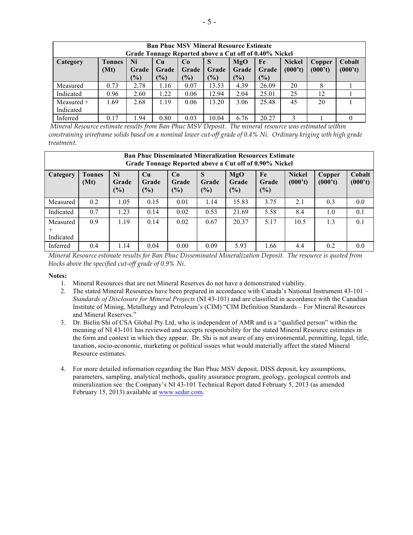| <b>Ban Phuc MSV Mineral Resource Estimate</b><br>Grade Tonnage Reported above a Cut off of 0.40% Nickel |                       |                              |                              |                              |                             |                               |                    |                          |                   |                   |
|---------------------------------------------------------------------------------------------------------|-----------------------|------------------------------|------------------------------|------------------------------|-----------------------------|-------------------------------|--------------------|--------------------------|-------------------|-------------------|
| Category                                                                                                | <b>Tonnes</b><br>(Mt) | Ni<br>Grade<br>$\frac{9}{6}$ | Cu<br>Grade<br>$\frac{6}{2}$ | Co<br>Grade<br>$\frac{1}{2}$ | S<br>Grade<br>$\frac{6}{2}$ | MgO<br>Grade<br>$\frac{9}{6}$ | Fe<br>Grade<br>(%) | <b>Nickel</b><br>(000't) | Copper<br>(000't) | Cobalt<br>(000't) |
| Measured                                                                                                | 0.73                  | 2.78                         | 1.16                         | 0.07                         | 13.53                       | 4.39                          | 26.09              | 20                       | 8                 |                   |
| Indicated                                                                                               | 0.96                  | 2.60                         | 1.22                         | 0.06                         | 12.94                       | 2.04                          | 25.01              | 25                       | 12                |                   |
| Measured $+$<br>Indicated                                                                               | 1.69                  | 2.68                         | 1.19                         | 0.06                         | 13 20                       | 3.06                          | 25.48              | 45                       | 20                |                   |
| Inferred                                                                                                | 0.17                  | 1.94                         | 0.80                         | 0.03                         | 10.04                       | 6.76                          | 20.27              | 3                        |                   | 0                 |

*Mineral Resource estimate results from Ban Phuc MSV Deposit. The mineral resource was estimated within constraining wireframe solids based on a nominal lower cut-off grade of 0.4% Ni. Ordinary kriging wth high grade treatment.*

| <b>Ban Phuc Disseminated Mineralization Resources Estimate</b><br>Grade Tonnage Reported above a Cut off of 0.90% Nickel |                       |                       |                    |                       |                      |                        |                       |                          |                          |                   |
|--------------------------------------------------------------------------------------------------------------------------|-----------------------|-----------------------|--------------------|-----------------------|----------------------|------------------------|-----------------------|--------------------------|--------------------------|-------------------|
| Category                                                                                                                 | <b>Tonnes</b><br>(Mt) | Ni<br>Grade<br>$(\%)$ | Cu<br>Grade<br>(%) | Co<br>Grade<br>$(\%)$ | S<br>Grade<br>$(\%)$ | MgO<br>Grade<br>$(\%)$ | Fe<br>Grade<br>$(\%)$ | <b>Nickel</b><br>(000't) | <b>Copper</b><br>(000't) | Cobalt<br>(000't) |
| Measured                                                                                                                 | 0.2                   | 1.05                  | 0.15               | 0.01                  | 1.14                 | 15.83                  | 3.75                  | 2.1                      | 0.3                      | 0.0               |
| Indicated                                                                                                                | 0.7                   | 1.23                  | 0.14               | 0.02                  | 0.53                 | 21.69                  | 5.58                  | 8.4                      | 1.0                      | 0.1               |
| Measured<br>Indicated                                                                                                    | 0.9                   | 1.19                  | 0.14               | 0.02                  | 0.67                 | 20.37                  | 5.17                  | 10.5                     | 1.3                      | 0.1               |
| Inferred                                                                                                                 | 0.4                   | 1.14                  | 0.04               | 0.00                  | 0.09                 | 5.93                   | 1.66                  | 4.4                      | 0.2                      | 0.0               |

*Mineral Resource estimate results for Ban Phuc Disseminated Mineralization Deposit. The resource is quoted from blocks above the specified cut-off grade of 0.9% Ni.*

#### **Notes:**

- 1. Mineral Resources that are not Mineral Reserves do not have a demonstrated viability.
- 2. The stated Mineral Resources have been prepared in accordance with Canada's National Instrument 43-101 *Standards of Disclosure for Mineral Projects* (NI 43-101) and are classified in accordance with the Canadian Institute of Mining, Metallurgy and Petroleum's (CIM) "CIM Definition Standards – For Mineral Resources and Mineral Reserves."
- 3. Dr. Bielin Shi of CSA Global Pty Ltd, who is independent of AMR and is a "qualified person" within the meaning of NI 43-101 has reviewed and accepts responsibility for the stated Mineral Resource estimates in the form and context in which they appear. Dr. Shi is not aware of any environmental, permitting, legal, title, taxation, socio-economic, marketing or political issues what would materially affect the stated Mineral Resource estimates.
- 4. For more detailed information regarding the Ban Phuc MSV deposit, DISS deposit, key assumptions, parameters, sampling, analytical methods, quality assurance program, geology, geological controls and mineralization see: the Company's NI 43-101 Technical Report dated February 5, 2013 (as amended February 15, 2013) available at www.sedar.com.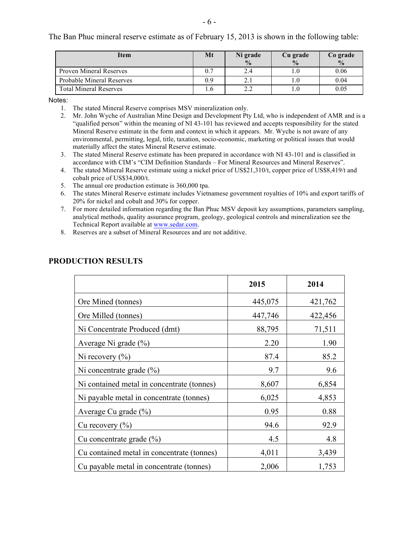| The Ban Phuc mineral reserve estimate as of February 15, 2013 is shown in the following table: |  |  |  |
|------------------------------------------------------------------------------------------------|--|--|--|
|                                                                                                |  |  |  |

| Item                           | Mt  | Ni grade<br>$\frac{0}{0}$ | Cu grade<br>$\frac{0}{0}$ | Co grade<br>$\frac{0}{0}$ |
|--------------------------------|-----|---------------------------|---------------------------|---------------------------|
| <b>Proven Mineral Reserves</b> |     |                           |                           | 0.06                      |
| Probable Mineral Reserves      | 0 O |                           |                           | 0.04                      |
| <b>Total Mineral Reserves</b>  |     |                           |                           | 0.05                      |

Notes:

1. The stated Mineral Reserve comprises MSV mineralization only.

- 2. Mr. John Wyche of Australian Mine Design and Development Pty Ltd, who is independent of AMR and is a "qualified person" within the meaning of NI 43-101 has reviewed and accepts responsibility for the stated Mineral Reserve estimate in the form and context in which it appears. Mr. Wyche is not aware of any environmental, permitting, legal, title, taxation, socio-economic, marketing or political issues that would materially affect the states Mineral Reserve estimate.
- 3. The stated Mineral Reserve estimate has been prepared in accordance with NI 43-101 and is classified in accordance with CIM's "CIM Definition Standards – For Mineral Resources and Mineral Reserves".
- 4. The stated Mineral Reserve estimate using a nickel price of US\$21,310/t, copper price of US\$8,419/t and cobalt price of US\$34,000/t.
- 5. The annual ore production estimate is 360,000 tpa.
- 6. The states Mineral Reserve estimate includes Vietnamese government royalties of 10% and export tariffs of 20% for nickel and cobalt and 30% for copper.
- 7. For more detailed information regarding the Ban Phuc MSV deposit key assumptions, parameters sampling, analytical methods, quality assurance program, geology, geological controls and mineralization see the Technical Report available at www.sedar.com.
- 8. Reserves are a subset of Mineral Resources and are not additive.

|                                            | 2015    | 2014    |
|--------------------------------------------|---------|---------|
| Ore Mined (tonnes)                         | 445,075 | 421,762 |
| Ore Milled (tonnes)                        | 447,746 | 422,456 |
| Ni Concentrate Produced (dmt)              | 88,795  | 71,511  |
| Average Ni grade $(\% )$                   | 2.20    | 1.90    |
| Ni recovery $(\% )$                        | 87.4    | 85.2    |
| Ni concentrate grade $(\% )$               | 9.7     | 9.6     |
| Ni contained metal in concentrate (tonnes) | 8,607   | 6,854   |
| Ni payable metal in concentrate (tonnes)   | 6,025   | 4,853   |
| Average Cu grade $(\%$                     | 0.95    | 0.88    |
| Cu recovery $(\% )$                        | 94.6    | 92.9    |
| Cu concentrate grade (%)                   | 4.5     | 4.8     |
| Cu contained metal in concentrate (tonnes) | 4,011   | 3,439   |
| Cu payable metal in concentrate (tonnes)   | 2,006   | 1,753   |

#### **PRODUCTION RESULTS**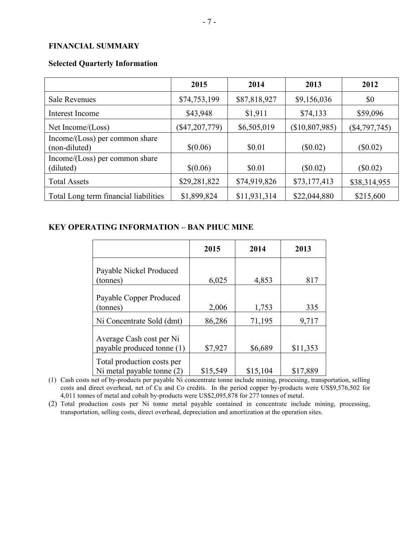### **FINANCIAL SUMMARY**

#### **Selected Quarterly Information**

|                                                 | 2015             | 2014         | 2013           | 2012            |
|-------------------------------------------------|------------------|--------------|----------------|-----------------|
| <b>Sale Revenues</b>                            | \$74,753,199     | \$87,818,927 | \$9,156,036    | \$0             |
| Interest Income                                 | \$43,948         | \$1,911      | \$74,133       | \$59,096        |
| Net Income/(Loss)                               | $(\$47,207,779)$ | \$6,505,019  | (\$10,807,985) | $(\$4,797,745)$ |
| Income/(Loss) per common share<br>(non-diluted) | \$(0.06)         | \$0.01       | $(\$0.02)$     | $(\$0.02)$      |
| Income/(Loss) per common share<br>(diluted)     | \$(0.06)         | \$0.01       | $(\$0.02)$     | $(\$0.02)$      |
| <b>Total Assets</b>                             | \$29,281,822     | \$74,919,826 | \$73,177,413   | \$38,314,955    |
| Total Long term financial liabilities           | \$1,899,824      | \$11,931,314 | \$22,044,880   | \$215,600       |

#### **KEY OPERATING INFORMATION – BAN PHUC MINE**

|                                                          | 2015     | 2014     | 2013     |
|----------------------------------------------------------|----------|----------|----------|
| Payable Nickel Produced<br>(tonnes)                      | 6,025    | 4,853    | 817      |
| Payable Copper Produced<br>(tonnes)                      | 2,006    | 1,753    | 335      |
| Ni Concentrate Sold (dmt)                                | 86,286   | 71,195   | 9,717    |
| Average Cash cost per Ni<br>payable produced tonne (1)   | \$7,927  | \$6,689  | \$11,353 |
| Total production costs per<br>Ni metal payable tonne (2) | \$15,549 | \$15,104 | \$17,889 |

(1) Cash costs net of by-products per payable Ni concentrate tonne include mining, processing, transportation, selling costs and direct overhead, net of Cu and Co credits. In the period copper by-products were US\$9,576,502 for 4,011 tonnes of metal and cobalt by-products were US\$2,095,878 for 277 tonnes of metal.

(2) Total production costs per Ni tonne metal payable contained in concentrate include mining, processing, transportation, selling costs, direct overhead, depreciation and amortization at the operation sites.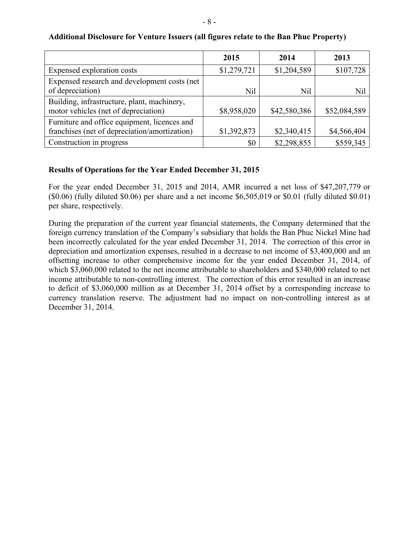|                                                                                     | 2015        | 2014         | 2013         |
|-------------------------------------------------------------------------------------|-------------|--------------|--------------|
| Expensed exploration costs                                                          | \$1,279,721 | \$1,204,589  | \$107,728    |
| Expensed research and development costs (net                                        |             |              |              |
| of depreciation)                                                                    | Nil         | Nil          | <b>Nil</b>   |
| Building, infrastructure, plant, machinery,<br>motor vehicles (net of depreciation) | \$8,958,020 | \$42,580,386 | \$52,084,589 |
| Furniture and office equipment, licences and                                        |             |              |              |
| franchises (net of depreciation/amortization)                                       | \$1,392,873 | \$2,340,415  | \$4,566,404  |
| Construction in progress                                                            | \$0         | \$2,298,855  | \$559,345    |

#### **Additional Disclosure for Venture Issuers (all figures relate to the Ban Phuc Property)**

### **Results of Operations for the Year Ended December 31, 2015**

For the year ended December 31, 2015 and 2014, AMR incurred a net loss of \$47,207,779 or (\$0.06) (fully diluted \$0.06) per share and a net income \$6,505,019 or \$0.01 (fully diluted \$0.01) per share, respectively.

During the preparation of the current year financial statements, the Company determined that the foreign currency translation of the Company's subsidiary that holds the Ban Phuc Nickel Mine had been incorrectly calculated for the year ended December 31, 2014. The correction of this error in depreciation and amortization expenses, resulted in a decrease to net income of \$3,400,000 and an offsetting increase to other comprehensive income for the year ended December 31, 2014, of which \$3,060,000 related to the net income attributable to shareholders and \$340,000 related to net income attributable to non-controlling interest. The correction of this error resulted in an increase to deficit of \$3,060,000 million as at December 31, 2014 offset by a corresponding increase to currency translation reserve. The adjustment had no impact on non-controlling interest as at December 31, 2014.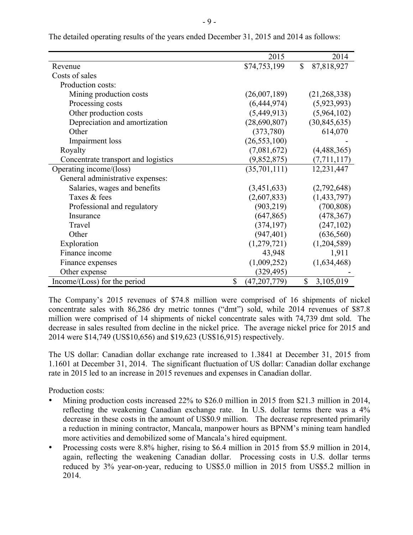|                                     | 2015                 | 2014             |
|-------------------------------------|----------------------|------------------|
| Revenue                             | \$74,753,199         | \$<br>87,818,927 |
| Costs of sales                      |                      |                  |
| Production costs:                   |                      |                  |
| Mining production costs             | (26,007,189)         | (21, 268, 338)   |
| Processing costs                    | (6,444,974)          | (5,923,993)      |
| Other production costs              | (5,449,913)          | (5,964,102)      |
| Depreciation and amortization       | (28,690,807)         | (30, 845, 635)   |
| Other                               | (373,780)            | 614,070          |
| Impairment loss                     | (26, 553, 100)       |                  |
| Royalty                             | (7,081,672)          | (4,488,365)      |
| Concentrate transport and logistics | (9,852,875)          | (7, 711, 117)    |
| Operating income/(loss)             | (35,701,111)         | 12,231,447       |
| General administrative expenses:    |                      |                  |
| Salaries, wages and benefits        | (3,451,633)          | (2,792,648)      |
| Taxes & fees                        | (2,607,833)          | (1,433,797)      |
| Professional and regulatory         | (903, 219)           | (700, 808)       |
| Insurance                           | (647, 865)           | (478, 367)       |
| Travel                              | (374, 197)           | (247,102)        |
| Other                               | (947, 401)           | (636, 560)       |
| Exploration                         | (1,279,721)          | (1,204,589)      |
| Finance income                      | 43,948               | 1,911            |
| Finance expenses                    | (1,009,252)          | (1,634,468)      |
| Other expense                       | (329, 495)           |                  |
| Income/(Loss) for the period        | \$<br>(47, 207, 779) | \$<br>3,105,019  |

The detailed operating results of the years ended December 31, 2015 and 2014 as follows:

The Company's 2015 revenues of \$74.8 million were comprised of 16 shipments of nickel concentrate sales with 86,286 dry metric tonnes ("dmt") sold, while 2014 revenues of \$87.8 million were comprised of 14 shipments of nickel concentrate sales with 74,739 dmt sold. The decrease in sales resulted from decline in the nickel price. The average nickel price for 2015 and 2014 were \$14,749 (US\$10,656) and \$19,623 (US\$16,915) respectively.

The US dollar: Canadian dollar exchange rate increased to 1.3841 at December 31, 2015 from 1.1601 at December 31, 2014. The significant fluctuation of US dollar: Canadian dollar exchange rate in 2015 led to an increase in 2015 revenues and expenses in Canadian dollar.

Production costs:

- Mining production costs increased 22% to \$26.0 million in 2015 from \$21.3 million in 2014, reflecting the weakening Canadian exchange rate. In U.S. dollar terms there was a 4% decrease in these costs in the amount of US\$0.9 million. The decrease represented primarily a reduction in mining contractor, Mancala, manpower hours as BPNM's mining team handled more activities and demobilized some of Mancala's hired equipment.
- Processing costs were 8.8% higher, rising to \$6.4 million in 2015 from \$5.9 million in 2014, again, reflecting the weakening Canadian dollar. Processing costs in U.S. dollar terms reduced by 3% year-on-year, reducing to US\$5.0 million in 2015 from US\$5.2 million in 2014.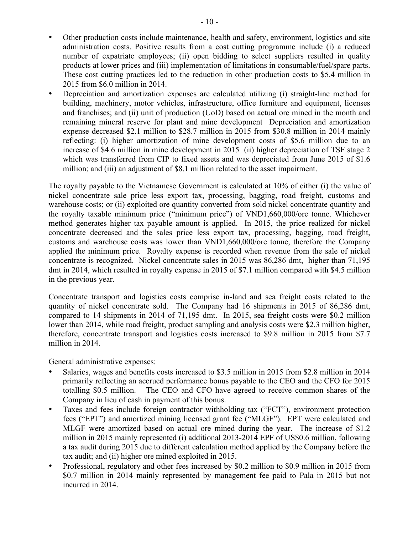- Other production costs include maintenance, health and safety, environment, logistics and site administration costs. Positive results from a cost cutting programme include (i) a reduced number of expatriate employees; (ii) open bidding to select suppliers resulted in quality products at lower prices and (iii) implementation of limitations in consumable/fuel/spare parts. These cost cutting practices led to the reduction in other production costs to \$5.4 million in 2015 from \$6.0 million in 2014.
- Depreciation and amortization expenses are calculated utilizing (i) straight-line method for building, machinery, motor vehicles, infrastructure, office furniture and equipment, licenses and franchises; and (ii) unit of production (UoD) based on actual ore mined in the month and remaining mineral reserve for plant and mine development Depreciation and amortization expense decreased \$2.1 million to \$28.7 million in 2015 from \$30.8 million in 2014 mainly reflecting: (i) higher amortization of mine development costs of \$5.6 million due to an increase of \$4.6 million in mine development in 2015 (ii) higher depreciation of TSF stage 2 which was transferred from CIP to fixed assets and was depreciated from June 2015 of \$1.6 million; and (iii) an adjustment of \$8.1 million related to the asset impairment.

The royalty payable to the Vietnamese Government is calculated at 10% of either (i) the value of nickel concentrate sale price less export tax, processing, bagging, road freight, customs and warehouse costs; or (ii) exploited ore quantity converted from sold nickel concentrate quantity and the royalty taxable minimum price ("minimum price") of VND1,660,000/ore tonne. Whichever method generates higher tax payable amount is applied. In 2015, the price realized for nickel concentrate decreased and the sales price less export tax, processing, bagging, road freight, customs and warehouse costs was lower than VND1,660,000/ore tonne, therefore the Company applied the minimum price. Royalty expense is recorded when revenue from the sale of nickel concentrate is recognized. Nickel concentrate sales in 2015 was 86,286 dmt, higher than 71,195 dmt in 2014, which resulted in royalty expense in 2015 of \$7.1 million compared with \$4.5 million in the previous year.

Concentrate transport and logistics costs comprise in-land and sea freight costs related to the quantity of nickel concentrate sold. The Company had 16 shipments in 2015 of 86,286 dmt, compared to 14 shipments in 2014 of 71,195 dmt. In 2015, sea freight costs were \$0.2 million lower than 2014, while road freight, product sampling and analysis costs were \$2.3 million higher, therefore, concentrate transport and logistics costs increased to \$9.8 million in 2015 from \$7.7 million in 2014.

General administrative expenses:

- Salaries, wages and benefits costs increased to \$3.5 million in 2015 from \$2.8 million in 2014 primarily reflecting an accrued performance bonus payable to the CEO and the CFO for 2015 totalling \$0.5 million. The CEO and CFO have agreed to receive common shares of the Company in lieu of cash in payment of this bonus.
- Taxes and fees include foreign contractor withholding tax ("FCT"), environment protection fees ("EPT") and amortized mining licensed grant fee ("MLGF"). EPT were calculated and MLGF were amortized based on actual ore mined during the year. The increase of \$1.2 million in 2015 mainly represented (i) additional 2013-2014 EPF of US\$0.6 million, following a tax audit during 2015 due to different calculation method applied by the Company before the tax audit; and (ii) higher ore mined exploited in 2015.
- Professional, regulatory and other fees increased by \$0.2 million to \$0.9 million in 2015 from \$0.7 million in 2014 mainly represented by management fee paid to Pala in 2015 but not incurred in 2014.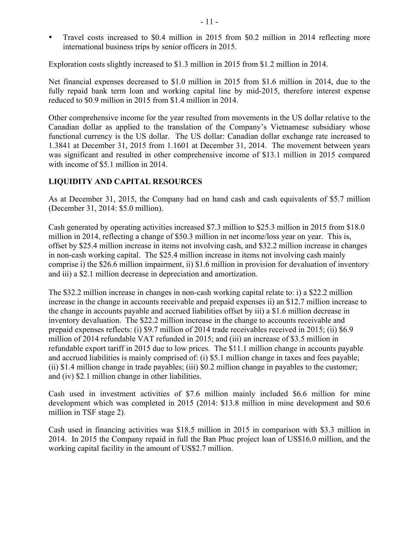• Travel costs increased to \$0.4 million in 2015 from \$0.2 million in 2014 reflecting more international business trips by senior officers in 2015.

Exploration costs slightly increased to \$1.3 million in 2015 from \$1.2 million in 2014.

Net financial expenses decreased to \$1.0 million in 2015 from \$1.6 million in 2014, due to the fully repaid bank term loan and working capital line by mid-2015, therefore interest expense reduced to \$0.9 million in 2015 from \$1.4 million in 2014.

Other comprehensive income for the year resulted from movements in the US dollar relative to the Canadian dollar as applied to the translation of the Company's Vietnamese subsidiary whose functional currency is the US dollar. The US dollar: Canadian dollar exchange rate increased to 1.3841 at December 31, 2015 from 1.1601 at December 31, 2014. The movement between years was significant and resulted in other comprehensive income of \$13.1 million in 2015 compared with income of \$5.1 million in 2014.

#### **LIQUIDITY AND CAPITAL RESOURCES**

As at December 31, 2015, the Company had on hand cash and cash equivalents of \$5.7 million (December 31, 2014: \$5.0 million).

Cash generated by operating activities increased \$7.3 million to \$25.3 million in 2015 from \$18.0 million in 2014, reflecting a change of \$50.3 million in net income/loss year on year. This is, offset by \$25.4 million increase in items not involving cash, and \$32.2 million increase in changes in non-cash working capital. The \$25.4 million increase in items not involving cash mainly comprise i) the \$26.6 million impairment, ii) \$1.6 million in provision for devaluation of inventory and iii) a \$2.1 million decrease in depreciation and amortization.

The \$32.2 million increase in changes in non-cash working capital relate to: i) a \$22.2 million increase in the change in accounts receivable and prepaid expenses ii) an \$12.7 million increase to the change in accounts payable and accrued liabilities offset by iii) a \$1.6 million decrease in inventory devaluation. The \$22.2 million increase in the change to accounts receivable and prepaid expenses reflects: (i) \$9.7 million of 2014 trade receivables received in 2015; (ii) \$6.9 million of 2014 refundable VAT refunded in 2015; and (iii) an increase of \$3.5 million in refundable export tariff in 2015 due to low prices. The \$11.1 million change in accounts payable and accrued liabilities is mainly comprised of: (i) \$5.1 million change in taxes and fees payable; (ii) \$1.4 million change in trade payables; (iii) \$0.2 million change in payables to the customer; and (iv) \$2.1 million change in other liabilities.

Cash used in investment activities of \$7.6 million mainly included \$6.6 million for mine development which was completed in 2015 (2014: \$13.8 million in mine development and \$0.6 million in TSF stage 2).

Cash used in financing activities was \$18.5 million in 2015 in comparison with \$3.3 million in 2014. In 2015 the Company repaid in full the Ban Phuc project loan of US\$16.0 million, and the working capital facility in the amount of US\$2.7 million.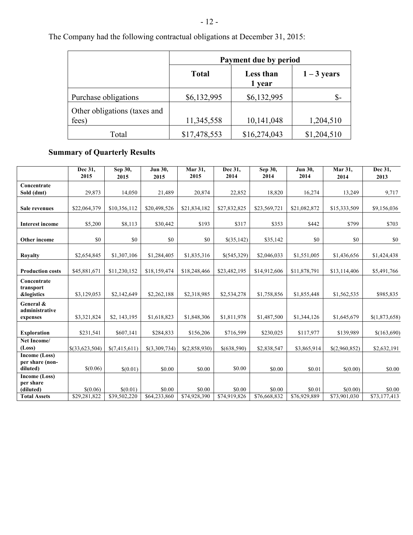|                                       | <b>Payment due by period</b> |                            |               |  |  |  |
|---------------------------------------|------------------------------|----------------------------|---------------|--|--|--|
|                                       | <b>Total</b>                 | <b>Less than</b><br>1 year | $1 - 3$ years |  |  |  |
| Purchase obligations                  | \$6,132,995                  | \$6,132,995                | \$-           |  |  |  |
| Other obligations (taxes and<br>fees) | 11,345,558                   | 10,141,048                 | 1,204,510     |  |  |  |
| Total                                 | \$17,478,553                 | \$16,274,043               | \$1,204,510   |  |  |  |

# **Summary of Quarterly Results**

|                                                   | Dec 31,<br>2015  | Sep 30,<br>2015 | Jun 30,<br>2015 | Mar 31,<br>2015          | Dec 31,<br>2014 | Sep 30,<br>2014 | Jun 30,<br>2014 | Mar $31,$<br>2014        | Dec 31,<br>2013          |
|---------------------------------------------------|------------------|-----------------|-----------------|--------------------------|-----------------|-----------------|-----------------|--------------------------|--------------------------|
| Concentrate                                       |                  |                 |                 |                          |                 |                 |                 |                          |                          |
| Sold (dmt)                                        | 29,873           | 14,050          | 21,489          | 20,874                   | 22,852          | 18,820          | 16,274          | 13,249                   | 9,717                    |
|                                                   |                  |                 |                 |                          |                 |                 |                 |                          |                          |
| <b>Sale revenues</b>                              | \$22,064,379     | \$10,356,112    | \$20,498,526    | \$21,834,182             | \$27,832,825    | \$23,569,721    | \$21,082,872    | \$15,333,509             | \$9,156,036              |
| <b>Interest income</b>                            | \$5,200          | \$8,113         | \$30,442        | \$193                    | \$317           | \$353           | \$442           | \$799                    | \$703                    |
| Other income                                      | \$0              | \$0             | \$0             | \$0                      | \$(35,142)      | \$35,142        | \$0             | \$0                      | \$0                      |
| <b>Royalty</b>                                    | \$2,654,845      | \$1,307,106     | \$1,284,405     | \$1,835,316              | \$(545,329)     | \$2,046,033     | \$1,551,005     | \$1,436,656              | \$1,424,438              |
| <b>Production costs</b>                           | \$45,881,671     | \$11,230,152    | \$18,159,474    | \$18,248,466             | \$23,482,195    | \$14,912,606    | \$11,878,791    | \$13,114,406             | \$5,491,766              |
| Concentrate<br>transport<br><b>&amp;logistics</b> | \$3,129,053      | \$2,142,649     | \$2,262,188     | \$2,318,985              | \$2,534,278     | \$1,758,856     | \$1,855,448     | \$1,562,535              | \$985,835                |
| General &<br>administrative<br>expenses           | \$3,321,824      | \$2, 143, 195   | \$1,618,823     | \$1,848,306              | \$1,811,978     | \$1,487,500     | \$1,344,126     | \$1,645,679              | \$(1,873,658)            |
| <b>Exploration</b>                                | \$231.541        | \$607.141       | \$284,833       | \$156,206                | \$716,599       | \$230.025       | \$117,977       | \$139,989                | \$(163,690)              |
| Net Income/                                       |                  |                 |                 |                          |                 |                 |                 |                          |                          |
| (Loss)                                            | $$$ (33,623,504) | \$(7,415,611)   | $$$ (3,309,734) | \$(2,858,930)            | $$$ (638,590)   | \$2,838,547     | \$3,865,914     | \$(2,960,852)            | \$2,632,191              |
| Income (Loss)                                     |                  |                 |                 |                          |                 |                 |                 |                          |                          |
| per share (non-<br>diluted)                       | \$(0.06)         | \$(0.01)        | \$0.00          | \$0.00                   | \$0.00          | \$0.00          | \$0.01          | \$(0.00)                 | \$0.00                   |
| Income (Loss)                                     |                  |                 |                 |                          |                 |                 |                 |                          |                          |
| per share                                         |                  |                 |                 |                          |                 |                 |                 |                          |                          |
| (diluted)                                         | \$(0.06)         | \$(0.01)        | \$0.00          | \$0.00                   | \$0.00          | \$0.00          | \$0.01          | \$(0.00)                 | \$0.00                   |
| <b>Total Assets</b>                               | \$29.281.822     | \$39.502.220    | \$64.233.860    | $\overline{$}74,928,390$ | \$74,919,826    | \$76,668,832    | \$76,929,889    | $\overline{$}73,901,030$ | $\overline{$}73,177,413$ |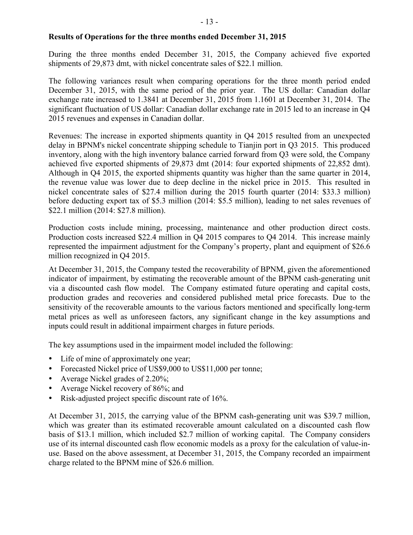### **Results of Operations for the three months ended December 31, 2015**

During the three months ended December 31, 2015, the Company achieved five exported shipments of 29,873 dmt, with nickel concentrate sales of \$22.1 million.

The following variances result when comparing operations for the three month period ended December 31, 2015, with the same period of the prior year. The US dollar: Canadian dollar exchange rate increased to 1.3841 at December 31, 2015 from 1.1601 at December 31, 2014. The significant fluctuation of US dollar: Canadian dollar exchange rate in 2015 led to an increase in Q4 2015 revenues and expenses in Canadian dollar.

Revenues: The increase in exported shipments quantity in Q4 2015 resulted from an unexpected delay in BPNM's nickel concentrate shipping schedule to Tianjin port in Q3 2015. This produced inventory, along with the high inventory balance carried forward from Q3 were sold, the Company achieved five exported shipments of 29,873 dmt (2014: four exported shipments of 22,852 dmt). Although in Q4 2015, the exported shipments quantity was higher than the same quarter in 2014, the revenue value was lower due to deep decline in the nickel price in 2015. This resulted in nickel concentrate sales of \$27.4 million during the 2015 fourth quarter (2014: \$33.3 million) before deducting export tax of \$5.3 million (2014: \$5.5 million), leading to net sales revenues of \$22.1 million (2014: \$27.8 million).

Production costs include mining, processing, maintenance and other production direct costs. Production costs increased \$22.4 million in Q4 2015 compares to Q4 2014. This increase mainly represented the impairment adjustment for the Company's property, plant and equipment of \$26.6 million recognized in Q4 2015.

At December 31, 2015, the Company tested the recoverability of BPNM, given the aforementioned indicator of impairment, by estimating the recoverable amount of the BPNM cash-generating unit via a discounted cash flow model. The Company estimated future operating and capital costs, production grades and recoveries and considered published metal price forecasts. Due to the sensitivity of the recoverable amounts to the various factors mentioned and specifically long-term metal prices as well as unforeseen factors, any significant change in the key assumptions and inputs could result in additional impairment charges in future periods.

The key assumptions used in the impairment model included the following:

- Life of mine of approximately one year;
- Forecasted Nickel price of US\$9,000 to US\$11,000 per tonne;
- Average Nickel grades of 2.20%;
- Average Nickel recovery of 86%; and
- Risk-adjusted project specific discount rate of 16%.

At December 31, 2015, the carrying value of the BPNM cash-generating unit was \$39.7 million, which was greater than its estimated recoverable amount calculated on a discounted cash flow basis of \$13.1 million, which included \$2.7 million of working capital. The Company considers use of its internal discounted cash flow economic models as a proxy for the calculation of value-inuse. Based on the above assessment, at December 31, 2015, the Company recorded an impairment charge related to the BPNM mine of \$26.6 million.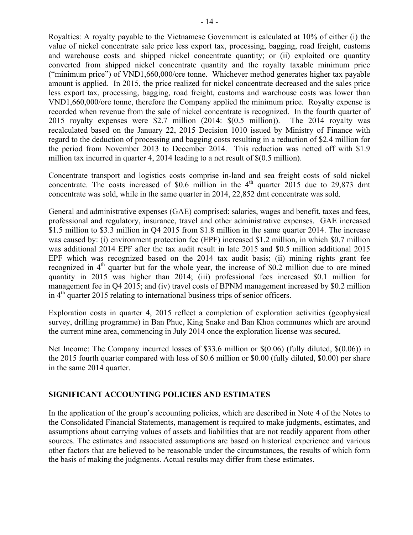Royalties: A royalty payable to the Vietnamese Government is calculated at 10% of either (i) the value of nickel concentrate sale price less export tax, processing, bagging, road freight, customs and warehouse costs and shipped nickel concentrate quantity; or (ii) exploited ore quantity converted from shipped nickel concentrate quantity and the royalty taxable minimum price ("minimum price") of VND1,660,000/ore tonne. Whichever method generates higher tax payable amount is applied. In 2015, the price realized for nickel concentrate decreased and the sales price less export tax, processing, bagging, road freight, customs and warehouse costs was lower than VND1,660,000/ore tonne, therefore the Company applied the minimum price. Royalty expense is recorded when revenue from the sale of nickel concentrate is recognized. In the fourth quarter of 2015 royalty expenses were \$2.7 million (2014: \$(0.5 million)). The 2014 royalty was recalculated based on the January 22, 2015 Decision 1010 issued by Ministry of Finance with regard to the deduction of processing and bagging costs resulting in a reduction of \$2.4 million for the period from November 2013 to December 2014. This reduction was netted off with \$1.9 million tax incurred in quarter 4, 2014 leading to a net result of \$(0.5 million).

Concentrate transport and logistics costs comprise in-land and sea freight costs of sold nickel concentrate. The costs increased of \$0.6 million in the  $4<sup>th</sup>$  quarter 2015 due to 29,873 dmt concentrate was sold, while in the same quarter in 2014, 22,852 dmt concentrate was sold.

General and administrative expenses (GAE) comprised: salaries, wages and benefit, taxes and fees, professional and regulatory, insurance, travel and other administrative expenses. GAE increased \$1.5 million to \$3.3 million in Q4 2015 from \$1.8 million in the same quarter 2014. The increase was caused by: (i) environment protection fee (EPF) increased \$1.2 million, in which \$0.7 million was additional 2014 EPF after the tax audit result in late 2015 and \$0.5 million additional 2015 EPF which was recognized based on the 2014 tax audit basis; (ii) mining rights grant fee recognized in  $4<sup>th</sup>$  quarter but for the whole year, the increase of \$0.2 million due to ore mined quantity in 2015 was higher than 2014; (iii) professional fees increased \$0.1 million for management fee in Q4 2015; and (iv) travel costs of BPNM management increased by \$0.2 million in 4<sup>th</sup> quarter 2015 relating to international business trips of senior officers.

Exploration costs in quarter 4, 2015 reflect a completion of exploration activities (geophysical survey, drilling programme) in Ban Phuc, King Snake and Ban Khoa communes which are around the current mine area, commencing in July 2014 once the exploration license was secured.

Net Income: The Company incurred losses of \$33.6 million or \$(0.06) (fully diluted, \$(0.06)) in the 2015 fourth quarter compared with loss of \$0.6 million or \$0.00 (fully diluted, \$0.00) per share in the same 2014 quarter.

### **SIGNIFICANT ACCOUNTING POLICIES AND ESTIMATES**

In the application of the group's accounting policies, which are described in Note 4 of the Notes to the Consolidated Financial Statements, management is required to make judgments, estimates, and assumptions about carrying values of assets and liabilities that are not readily apparent from other sources. The estimates and associated assumptions are based on historical experience and various other factors that are believed to be reasonable under the circumstances, the results of which form the basis of making the judgments. Actual results may differ from these estimates.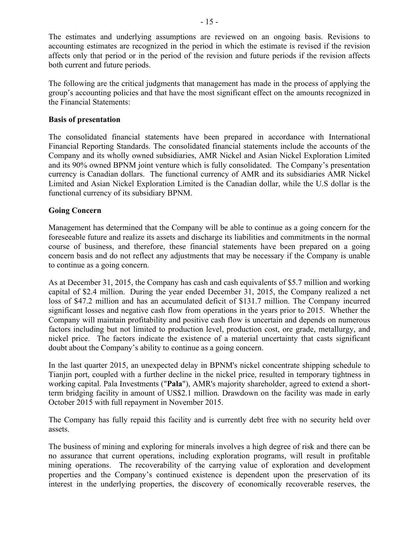The estimates and underlying assumptions are reviewed on an ongoing basis. Revisions to accounting estimates are recognized in the period in which the estimate is revised if the revision affects only that period or in the period of the revision and future periods if the revision affects both current and future periods.

The following are the critical judgments that management has made in the process of applying the group's accounting policies and that have the most significant effect on the amounts recognized in the Financial Statements:

#### **Basis of presentation**

The consolidated financial statements have been prepared in accordance with International Financial Reporting Standards. The consolidated financial statements include the accounts of the Company and its wholly owned subsidiaries, AMR Nickel and Asian Nickel Exploration Limited and its 90% owned BPNM joint venture which is fully consolidated. The Company's presentation currency is Canadian dollars. The functional currency of AMR and its subsidiaries AMR Nickel Limited and Asian Nickel Exploration Limited is the Canadian dollar, while the U.S dollar is the functional currency of its subsidiary BPNM.

### **Going Concern**

Management has determined that the Company will be able to continue as a going concern for the foreseeable future and realize its assets and discharge its liabilities and commitments in the normal course of business, and therefore, these financial statements have been prepared on a going concern basis and do not reflect any adjustments that may be necessary if the Company is unable to continue as a going concern.

As at December 31, 2015, the Company has cash and cash equivalents of \$5.7 million and working capital of \$2.4 million. During the year ended December 31, 2015, the Company realized a net loss of \$47.2 million and has an accumulated deficit of \$131.7 million. The Company incurred significant losses and negative cash flow from operations in the years prior to 2015. Whether the Company will maintain profitability and positive cash flow is uncertain and depends on numerous factors including but not limited to production level, production cost, ore grade, metallurgy, and nickel price. The factors indicate the existence of a material uncertainty that casts significant doubt about the Company's ability to continue as a going concern.

In the last quarter 2015, an unexpected delay in BPNM's nickel concentrate shipping schedule to Tianjin port, coupled with a further decline in the nickel price, resulted in temporary tightness in working capital. Pala Investments ("**Pala**"), AMR's majority shareholder, agreed to extend a shortterm bridging facility in amount of US\$2.1 million. Drawdown on the facility was made in early October 2015 with full repayment in November 2015.

The Company has fully repaid this facility and is currently debt free with no security held over assets.

The business of mining and exploring for minerals involves a high degree of risk and there can be no assurance that current operations, including exploration programs, will result in profitable mining operations. The recoverability of the carrying value of exploration and development properties and the Company's continued existence is dependent upon the preservation of its interest in the underlying properties, the discovery of economically recoverable reserves, the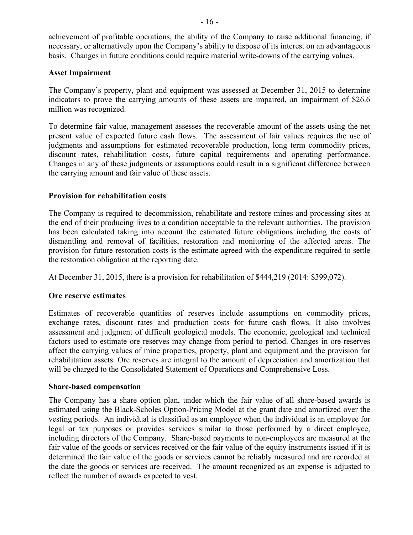achievement of profitable operations, the ability of the Company to raise additional financing, if necessary, or alternatively upon the Company's ability to dispose of its interest on an advantageous basis. Changes in future conditions could require material write-downs of the carrying values.

### **Asset Impairment**

The Company's property, plant and equipment was assessed at December 31, 2015 to determine indicators to prove the carrying amounts of these assets are impaired, an impairment of \$26.6 million was recognized.

To determine fair value, management assesses the recoverable amount of the assets using the net present value of expected future cash flows. The assessment of fair values requires the use of judgments and assumptions for estimated recoverable production, long term commodity prices, discount rates, rehabilitation costs, future capital requirements and operating performance. Changes in any of these judgments or assumptions could result in a significant difference between the carrying amount and fair value of these assets.

### **Provision for rehabilitation costs**

The Company is required to decommission, rehabilitate and restore mines and processing sites at the end of their producing lives to a condition acceptable to the relevant authorities. The provision has been calculated taking into account the estimated future obligations including the costs of dismantling and removal of facilities, restoration and monitoring of the affected areas. The provision for future restoration costs is the estimate agreed with the expenditure required to settle the restoration obligation at the reporting date.

At December 31, 2015, there is a provision for rehabilitation of \$444,219 (2014: \$399,072).

#### **Ore reserve estimates**

Estimates of recoverable quantities of reserves include assumptions on commodity prices, exchange rates, discount rates and production costs for future cash flows. It also involves assessment and judgment of difficult geological models. The economic, geological and technical factors used to estimate ore reserves may change from period to period. Changes in ore reserves affect the carrying values of mine properties, property, plant and equipment and the provision for rehabilitation assets. Ore reserves are integral to the amount of depreciation and amortization that will be charged to the Consolidated Statement of Operations and Comprehensive Loss.

#### **Share-based compensation**

The Company has a share option plan, under which the fair value of all share-based awards is estimated using the Black-Scholes Option-Pricing Model at the grant date and amortized over the vesting periods. An individual is classified as an employee when the individual is an employee for legal or tax purposes or provides services similar to those performed by a direct employee, including directors of the Company. Share-based payments to non-employees are measured at the fair value of the goods or services received or the fair value of the equity instruments issued if it is determined the fair value of the goods or services cannot be reliably measured and are recorded at the date the goods or services are received. The amount recognized as an expense is adjusted to reflect the number of awards expected to vest.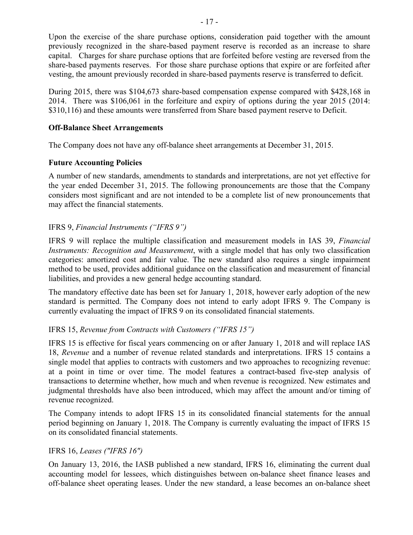Upon the exercise of the share purchase options, consideration paid together with the amount previously recognized in the share-based payment reserve is recorded as an increase to share capital. Charges for share purchase options that are forfeited before vesting are reversed from the share-based payments reserves. For those share purchase options that expire or are forfeited after vesting, the amount previously recorded in share-based payments reserve is transferred to deficit.

During 2015, there was \$104,673 share-based compensation expense compared with \$428,168 in 2014. There was \$106,061 in the forfeiture and expiry of options during the year 2015 (2014: \$310,116) and these amounts were transferred from Share based payment reserve to Deficit.

### **Off-Balance Sheet Arrangements**

The Company does not have any off-balance sheet arrangements at December 31, 2015.

### **Future Accounting Policies**

A number of new standards, amendments to standards and interpretations, are not yet effective for the year ended December 31, 2015. The following pronouncements are those that the Company considers most significant and are not intended to be a complete list of new pronouncements that may affect the financial statements.

### IFRS 9, *Financial Instruments ("IFRS 9")*

IFRS 9 will replace the multiple classification and measurement models in IAS 39, *Financial Instruments: Recognition and Measurement*, with a single model that has only two classification categories: amortized cost and fair value. The new standard also requires a single impairment method to be used, provides additional guidance on the classification and measurement of financial liabilities, and provides a new general hedge accounting standard.

The mandatory effective date has been set for January 1, 2018, however early adoption of the new standard is permitted. The Company does not intend to early adopt IFRS 9. The Company is currently evaluating the impact of IFRS 9 on its consolidated financial statements.

### IFRS 15, *Revenue from Contracts with Customers ("IFRS 15")*

IFRS 15 is effective for fiscal years commencing on or after January 1, 2018 and will replace IAS 18, *Revenue* and a number of revenue related standards and interpretations. IFRS 15 contains a single model that applies to contracts with customers and two approaches to recognizing revenue: at a point in time or over time. The model features a contract-based five-step analysis of transactions to determine whether, how much and when revenue is recognized. New estimates and judgmental thresholds have also been introduced, which may affect the amount and/or timing of revenue recognized.

The Company intends to adopt IFRS 15 in its consolidated financial statements for the annual period beginning on January 1, 2018. The Company is currently evaluating the impact of IFRS 15 on its consolidated financial statements.

### IFRS 16, *Leases ("IFRS 16")*

On January 13, 2016, the IASB published a new standard, IFRS 16, eliminating the current dual accounting model for lessees, which distinguishes between on-balance sheet finance leases and off-balance sheet operating leases. Under the new standard, a lease becomes an on-balance sheet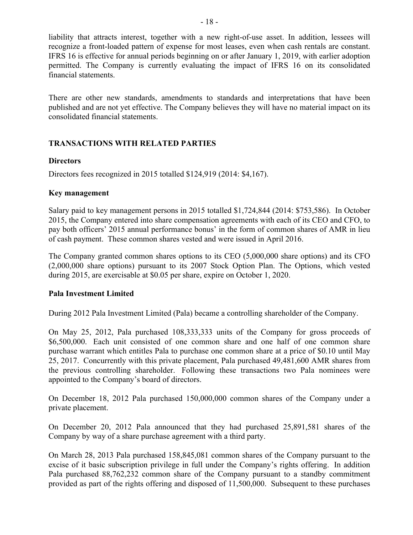liability that attracts interest, together with a new right-of-use asset. In addition, lessees will recognize a front-loaded pattern of expense for most leases, even when cash rentals are constant. IFRS 16 is effective for annual periods beginning on or after January 1, 2019, with earlier adoption permitted. The Company is currently evaluating the impact of IFRS 16 on its consolidated financial statements.

There are other new standards, amendments to standards and interpretations that have been published and are not yet effective. The Company believes they will have no material impact on its consolidated financial statements.

## **TRANSACTIONS WITH RELATED PARTIES**

### **Directors**

Directors fees recognized in 2015 totalled \$124,919 (2014: \$4,167).

### **Key management**

Salary paid to key management persons in 2015 totalled \$1,724,844 (2014: \$753,586). In October 2015, the Company entered into share compensation agreements with each of its CEO and CFO, to pay both officers' 2015 annual performance bonus' in the form of common shares of AMR in lieu of cash payment. These common shares vested and were issued in April 2016.

The Company granted common shares options to its CEO (5,000,000 share options) and its CFO (2,000,000 share options) pursuant to its 2007 Stock Option Plan. The Options, which vested during 2015, are exercisable at \$0.05 per share, expire on October 1, 2020.

#### **Pala Investment Limited**

During 2012 Pala Investment Limited (Pala) became a controlling shareholder of the Company.

On May 25, 2012, Pala purchased 108,333,333 units of the Company for gross proceeds of \$6,500,000. Each unit consisted of one common share and one half of one common share purchase warrant which entitles Pala to purchase one common share at a price of \$0.10 until May 25, 2017. Concurrently with this private placement, Pala purchased 49,481,600 AMR shares from the previous controlling shareholder. Following these transactions two Pala nominees were appointed to the Company's board of directors.

On December 18, 2012 Pala purchased 150,000,000 common shares of the Company under a private placement.

On December 20, 2012 Pala announced that they had purchased 25,891,581 shares of the Company by way of a share purchase agreement with a third party.

On March 28, 2013 Pala purchased 158,845,081 common shares of the Company pursuant to the excise of it basic subscription privilege in full under the Company's rights offering. In addition Pala purchased 88,762,232 common share of the Company pursuant to a standby commitment provided as part of the rights offering and disposed of 11,500,000. Subsequent to these purchases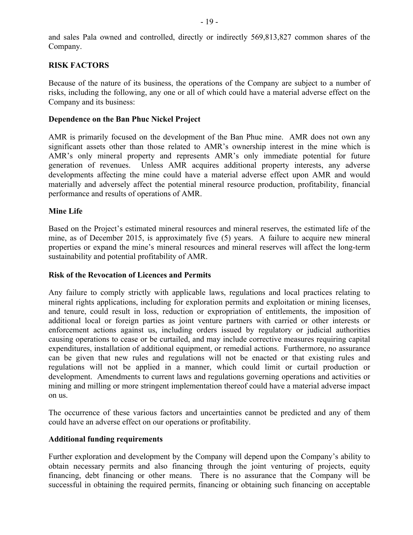and sales Pala owned and controlled, directly or indirectly 569,813,827 common shares of the Company.

### **RISK FACTORS**

Because of the nature of its business, the operations of the Company are subject to a number of risks, including the following, any one or all of which could have a material adverse effect on the Company and its business:

### **Dependence on the Ban Phuc Nickel Project**

AMR is primarily focused on the development of the Ban Phuc mine. AMR does not own any significant assets other than those related to AMR's ownership interest in the mine which is AMR's only mineral property and represents AMR's only immediate potential for future generation of revenues. Unless AMR acquires additional property interests, any adverse developments affecting the mine could have a material adverse effect upon AMR and would materially and adversely affect the potential mineral resource production, profitability, financial performance and results of operations of AMR.

### **Mine Life**

Based on the Project's estimated mineral resources and mineral reserves, the estimated life of the mine, as of December 2015, is approximately five (5) years. A failure to acquire new mineral properties or expand the mine's mineral resources and mineral reserves will affect the long-term sustainability and potential profitability of AMR.

#### **Risk of the Revocation of Licences and Permits**

Any failure to comply strictly with applicable laws, regulations and local practices relating to mineral rights applications, including for exploration permits and exploitation or mining licenses, and tenure, could result in loss, reduction or expropriation of entitlements, the imposition of additional local or foreign parties as joint venture partners with carried or other interests or enforcement actions against us, including orders issued by regulatory or judicial authorities causing operations to cease or be curtailed, and may include corrective measures requiring capital expenditures, installation of additional equipment, or remedial actions. Furthermore, no assurance can be given that new rules and regulations will not be enacted or that existing rules and regulations will not be applied in a manner, which could limit or curtail production or development. Amendments to current laws and regulations governing operations and activities or mining and milling or more stringent implementation thereof could have a material adverse impact on us.

The occurrence of these various factors and uncertainties cannot be predicted and any of them could have an adverse effect on our operations or profitability.

#### **Additional funding requirements**

Further exploration and development by the Company will depend upon the Company's ability to obtain necessary permits and also financing through the joint venturing of projects, equity financing, debt financing or other means. There is no assurance that the Company will be successful in obtaining the required permits, financing or obtaining such financing on acceptable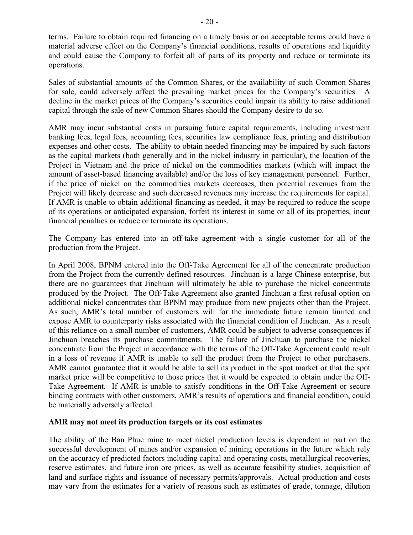terms. Failure to obtain required financing on a timely basis or on acceptable terms could have a material adverse effect on the Company's financial conditions, results of operations and liquidity and could cause the Company to forfeit all of parts of its property and reduce or terminate its operations.

Sales of substantial amounts of the Common Shares, or the availability of such Common Shares for sale, could adversely affect the prevailing market prices for the Company's securities. A decline in the market prices of the Company's securities could impair its ability to raise additional capital through the sale of new Common Shares should the Company desire to do so.

AMR may incur substantial costs in pursuing future capital requirements, including investment banking fees, legal fees, accounting fees, securities law compliance fees, printing and distribution expenses and other costs. The ability to obtain needed financing may be impaired by such factors as the capital markets (both generally and in the nickel industry in particular), the location of the Project in Vietnam and the price of nickel on the commodities markets (which will impact the amount of asset-based financing available) and/or the loss of key management personnel. Further, if the price of nickel on the commodities markets decreases, then potential revenues from the Project will likely decrease and such decreased revenues may increase the requirements for capital. If AMR is unable to obtain additional financing as needed, it may be required to reduce the scope of its operations or anticipated expansion, forfeit its interest in some or all of its properties, incur financial penalties or reduce or terminate its operations.

The Company has entered into an off-take agreement with a single customer for all of the production from the Project.

In April 2008, BPNM entered into the Off-Take Agreement for all of the concentrate production from the Project from the currently defined resources. Jinchuan is a large Chinese enterprise, but there are no guarantees that Jinchuan will ultimately be able to purchase the nickel concentrate produced by the Project. The Off-Take Agreement also granted Jinchuan a first refusal option on additional nickel concentrates that BPNM may produce from new projects other than the Project. As such, AMR's total number of customers will for the immediate future remain limited and expose AMR to counterparty risks associated with the financial condition of Jinchuan. As a result of this reliance on a small number of customers, AMR could be subject to adverse consequences if Jinchuan breaches its purchase commitments. The failure of Jinchuan to purchase the nickel concentrate from the Project in accordance with the terms of the Off-Take Agreement could result in a loss of revenue if AMR is unable to sell the product from the Project to other purchasers. AMR cannot guarantee that it would be able to sell its product in the spot market or that the spot market price will be competitive to those prices that it would be expected to obtain under the Off-Take Agreement. If AMR is unable to satisfy conditions in the Off-Take Agreement or secure binding contracts with other customers, AMR's results of operations and financial condition, could be materially adversely affected.

#### **AMR may not meet its production targets or its cost estimates**

The ability of the Ban Phuc mine to meet nickel production levels is dependent in part on the successful development of mines and/or expansion of mining operations in the future which rely on the accuracy of predicted factors including capital and operating costs, metallurgical recoveries, reserve estimates, and future iron ore prices, as well as accurate feasibility studies, acquisition of land and surface rights and issuance of necessary permits/approvals. Actual production and costs may vary from the estimates for a variety of reasons such as estimates of grade, tonnage, dilution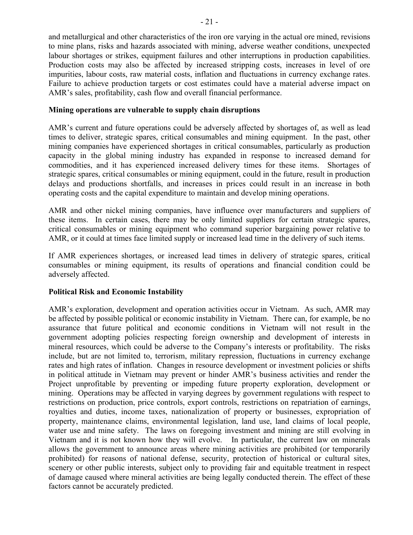and metallurgical and other characteristics of the iron ore varying in the actual ore mined, revisions to mine plans, risks and hazards associated with mining, adverse weather conditions, unexpected labour shortages or strikes, equipment failures and other interruptions in production capabilities. Production costs may also be affected by increased stripping costs, increases in level of ore impurities, labour costs, raw material costs, inflation and fluctuations in currency exchange rates. Failure to achieve production targets or cost estimates could have a material adverse impact on AMR's sales, profitability, cash flow and overall financial performance.

#### **Mining operations are vulnerable to supply chain disruptions**

AMR's current and future operations could be adversely affected by shortages of, as well as lead times to deliver, strategic spares, critical consumables and mining equipment. In the past, other mining companies have experienced shortages in critical consumables, particularly as production capacity in the global mining industry has expanded in response to increased demand for commodities, and it has experienced increased delivery times for these items. Shortages of strategic spares, critical consumables or mining equipment, could in the future, result in production delays and productions shortfalls, and increases in prices could result in an increase in both operating costs and the capital expenditure to maintain and develop mining operations.

AMR and other nickel mining companies, have influence over manufacturers and suppliers of these items. In certain cases, there may be only limited suppliers for certain strategic spares, critical consumables or mining equipment who command superior bargaining power relative to AMR, or it could at times face limited supply or increased lead time in the delivery of such items.

If AMR experiences shortages, or increased lead times in delivery of strategic spares, critical consumables or mining equipment, its results of operations and financial condition could be adversely affected.

### **Political Risk and Economic Instability**

AMR's exploration, development and operation activities occur in Vietnam. As such, AMR may be affected by possible political or economic instability in Vietnam. There can, for example, be no assurance that future political and economic conditions in Vietnam will not result in the government adopting policies respecting foreign ownership and development of interests in mineral resources, which could be adverse to the Company's interests or profitability. The risks include, but are not limited to, terrorism, military repression, fluctuations in currency exchange rates and high rates of inflation. Changes in resource development or investment policies or shifts in political attitude in Vietnam may prevent or hinder AMR's business activities and render the Project unprofitable by preventing or impeding future property exploration, development or mining. Operations may be affected in varying degrees by government regulations with respect to restrictions on production, price controls, export controls, restrictions on repatriation of earnings, royalties and duties, income taxes, nationalization of property or businesses, expropriation of property, maintenance claims, environmental legislation, land use, land claims of local people, water use and mine safety. The laws on foregoing investment and mining are still evolving in Vietnam and it is not known how they will evolve. In particular, the current law on minerals allows the government to announce areas where mining activities are prohibited (or temporarily prohibited) for reasons of national defense, security, protection of historical or cultural sites, scenery or other public interests, subject only to providing fair and equitable treatment in respect of damage caused where mineral activities are being legally conducted therein. The effect of these factors cannot be accurately predicted.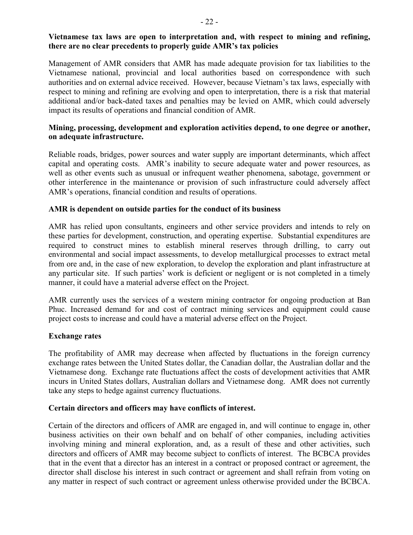#### **Vietnamese tax laws are open to interpretation and, with respect to mining and refining, there are no clear precedents to properly guide AMR's tax policies**

Management of AMR considers that AMR has made adequate provision for tax liabilities to the Vietnamese national, provincial and local authorities based on correspondence with such authorities and on external advice received. However, because Vietnam's tax laws, especially with respect to mining and refining are evolving and open to interpretation, there is a risk that material additional and/or back-dated taxes and penalties may be levied on AMR, which could adversely impact its results of operations and financial condition of AMR.

### **Mining, processing, development and exploration activities depend, to one degree or another, on adequate infrastructure.**

Reliable roads, bridges, power sources and water supply are important determinants, which affect capital and operating costs. AMR's inability to secure adequate water and power resources, as well as other events such as unusual or infrequent weather phenomena, sabotage, government or other interference in the maintenance or provision of such infrastructure could adversely affect AMR's operations, financial condition and results of operations.

### **AMR is dependent on outside parties for the conduct of its business**

AMR has relied upon consultants, engineers and other service providers and intends to rely on these parties for development, construction, and operating expertise. Substantial expenditures are required to construct mines to establish mineral reserves through drilling, to carry out environmental and social impact assessments, to develop metallurgical processes to extract metal from ore and, in the case of new exploration, to develop the exploration and plant infrastructure at any particular site. If such parties' work is deficient or negligent or is not completed in a timely manner, it could have a material adverse effect on the Project.

AMR currently uses the services of a western mining contractor for ongoing production at Ban Phuc. Increased demand for and cost of contract mining services and equipment could cause project costs to increase and could have a material adverse effect on the Project.

#### **Exchange rates**

The profitability of AMR may decrease when affected by fluctuations in the foreign currency exchange rates between the United States dollar, the Canadian dollar, the Australian dollar and the Vietnamese dong. Exchange rate fluctuations affect the costs of development activities that AMR incurs in United States dollars, Australian dollars and Vietnamese dong. AMR does not currently take any steps to hedge against currency fluctuations.

#### **Certain directors and officers may have conflicts of interest.**

Certain of the directors and officers of AMR are engaged in, and will continue to engage in, other business activities on their own behalf and on behalf of other companies, including activities involving mining and mineral exploration, and, as a result of these and other activities, such directors and officers of AMR may become subject to conflicts of interest. The BCBCA provides that in the event that a director has an interest in a contract or proposed contract or agreement, the director shall disclose his interest in such contract or agreement and shall refrain from voting on any matter in respect of such contract or agreement unless otherwise provided under the BCBCA.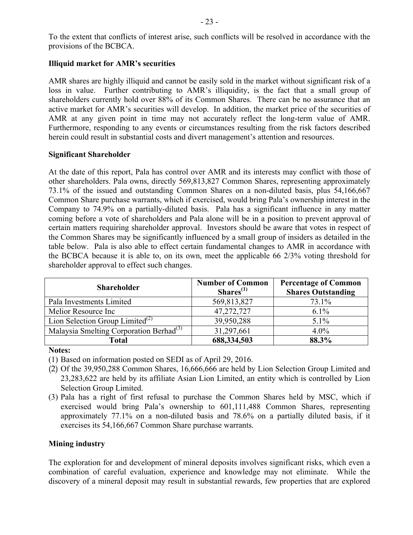To the extent that conflicts of interest arise, such conflicts will be resolved in accordance with the provisions of the BCBCA.

### **Illiquid market for AMR's securities**

AMR shares are highly illiquid and cannot be easily sold in the market without significant risk of a loss in value. Further contributing to AMR's illiquidity, is the fact that a small group of shareholders currently hold over 88% of its Common Shares. There can be no assurance that an active market for AMR's securities will develop. In addition, the market price of the securities of AMR at any given point in time may not accurately reflect the long-term value of AMR. Furthermore, responding to any events or circumstances resulting from the risk factors described herein could result in substantial costs and divert management's attention and resources.

#### **Significant Shareholder**

At the date of this report, Pala has control over AMR and its interests may conflict with those of other shareholders. Pala owns, directly 569,813,827 Common Shares, representing approximately 73.1% of the issued and outstanding Common Shares on a non-diluted basis, plus 54,166,667 Common Share purchase warrants, which if exercised, would bring Pala's ownership interest in the Company to 74.9% on a partially-diluted basis. Pala has a significant influence in any matter coming before a vote of shareholders and Pala alone will be in a position to prevent approval of certain matters requiring shareholder approval. Investors should be aware that votes in respect of the Common Shares may be significantly influenced by a small group of insiders as detailed in the table below. Pala is also able to effect certain fundamental changes to AMR in accordance with the BCBCA because it is able to, on its own, meet the applicable 66 2/3% voting threshold for shareholder approval to effect such changes.

| <b>Shareholder</b>                                  | <b>Number of Common</b><br>Shares <sup>(1)</sup> | <b>Percentage of Common</b><br><b>Shares Outstanding</b> |
|-----------------------------------------------------|--------------------------------------------------|----------------------------------------------------------|
| Pala Investments Limited                            | 569,813,827                                      | 73.1%                                                    |
| Melior Resource Inc                                 | 47,272,727                                       | $6.1\%$                                                  |
| Lion Selection Group Limited $^{(2)}$               | 39,950,288                                       | $5.1\%$                                                  |
| Malaysia Smelting Corporation Berhad <sup>(3)</sup> | 31,297,661                                       | $4.0\%$                                                  |
| Total                                               | 688,334,503                                      | 88.3%                                                    |

#### **Notes:**

(1) Based on information posted on SEDI as of April 29, 2016.

- (2) Of the 39,950,288 Common Shares, 16,666,666 are held by Lion Selection Group Limited and 23,283,622 are held by its affiliate Asian Lion Limited, an entity which is controlled by Lion Selection Group Limited.
- (3) Pala has a right of first refusal to purchase the Common Shares held by MSC, which if exercised would bring Pala's ownership to 601,111,488 Common Shares, representing approximately 77.1% on a non-diluted basis and 78.6% on a partially diluted basis, if it exercises its 54,166,667 Common Share purchase warrants.

### **Mining industry**

The exploration for and development of mineral deposits involves significant risks, which even a combination of careful evaluation, experience and knowledge may not eliminate. While the discovery of a mineral deposit may result in substantial rewards, few properties that are explored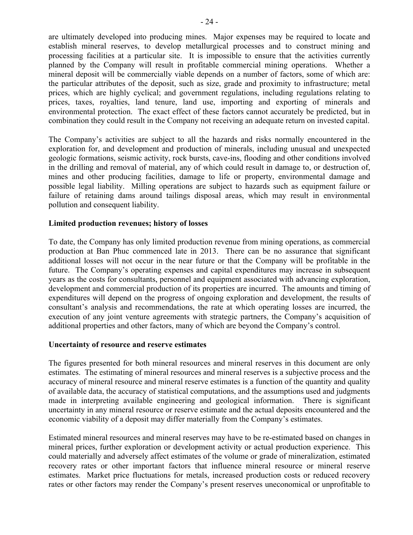are ultimately developed into producing mines. Major expenses may be required to locate and establish mineral reserves, to develop metallurgical processes and to construct mining and processing facilities at a particular site. It is impossible to ensure that the activities currently planned by the Company will result in profitable commercial mining operations. Whether a mineral deposit will be commercially viable depends on a number of factors, some of which are: the particular attributes of the deposit, such as size, grade and proximity to infrastructure; metal prices, which are highly cyclical; and government regulations, including regulations relating to prices, taxes, royalties, land tenure, land use, importing and exporting of minerals and environmental protection. The exact effect of these factors cannot accurately be predicted, but in combination they could result in the Company not receiving an adequate return on invested capital.

The Company's activities are subject to all the hazards and risks normally encountered in the exploration for, and development and production of minerals, including unusual and unexpected geologic formations, seismic activity, rock bursts, cave-ins, flooding and other conditions involved in the drilling and removal of material, any of which could result in damage to, or destruction of, mines and other producing facilities, damage to life or property, environmental damage and possible legal liability. Milling operations are subject to hazards such as equipment failure or failure of retaining dams around tailings disposal areas, which may result in environmental pollution and consequent liability.

#### **Limited production revenues; history of losses**

To date, the Company has only limited production revenue from mining operations, as commercial production at Ban Phuc commenced late in 2013. There can be no assurance that significant additional losses will not occur in the near future or that the Company will be profitable in the future. The Company's operating expenses and capital expenditures may increase in subsequent years as the costs for consultants, personnel and equipment associated with advancing exploration, development and commercial production of its properties are incurred. The amounts and timing of expenditures will depend on the progress of ongoing exploration and development, the results of consultant's analysis and recommendations, the rate at which operating losses are incurred, the execution of any joint venture agreements with strategic partners, the Company's acquisition of additional properties and other factors, many of which are beyond the Company's control.

#### **Uncertainty of resource and reserve estimates**

The figures presented for both mineral resources and mineral reserves in this document are only estimates. The estimating of mineral resources and mineral reserves is a subjective process and the accuracy of mineral resource and mineral reserve estimates is a function of the quantity and quality of available data, the accuracy of statistical computations, and the assumptions used and judgments made in interpreting available engineering and geological information. There is significant uncertainty in any mineral resource or reserve estimate and the actual deposits encountered and the economic viability of a deposit may differ materially from the Company's estimates.

Estimated mineral resources and mineral reserves may have to be re-estimated based on changes in mineral prices, further exploration or development activity or actual production experience. This could materially and adversely affect estimates of the volume or grade of mineralization, estimated recovery rates or other important factors that influence mineral resource or mineral reserve estimates. Market price fluctuations for metals, increased production costs or reduced recovery rates or other factors may render the Company's present reserves uneconomical or unprofitable to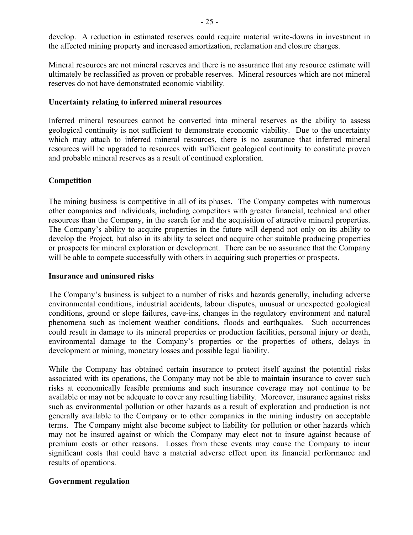develop. A reduction in estimated reserves could require material write-downs in investment in the affected mining property and increased amortization, reclamation and closure charges.

Mineral resources are not mineral reserves and there is no assurance that any resource estimate will ultimately be reclassified as proven or probable reserves. Mineral resources which are not mineral reserves do not have demonstrated economic viability.

#### **Uncertainty relating to inferred mineral resources**

Inferred mineral resources cannot be converted into mineral reserves as the ability to assess geological continuity is not sufficient to demonstrate economic viability. Due to the uncertainty which may attach to inferred mineral resources, there is no assurance that inferred mineral resources will be upgraded to resources with sufficient geological continuity to constitute proven and probable mineral reserves as a result of continued exploration.

### **Competition**

The mining business is competitive in all of its phases. The Company competes with numerous other companies and individuals, including competitors with greater financial, technical and other resources than the Company, in the search for and the acquisition of attractive mineral properties. The Company's ability to acquire properties in the future will depend not only on its ability to develop the Project, but also in its ability to select and acquire other suitable producing properties or prospects for mineral exploration or development. There can be no assurance that the Company will be able to compete successfully with others in acquiring such properties or prospects.

#### **Insurance and uninsured risks**

The Company's business is subject to a number of risks and hazards generally, including adverse environmental conditions, industrial accidents, labour disputes, unusual or unexpected geological conditions, ground or slope failures, cave-ins, changes in the regulatory environment and natural phenomena such as inclement weather conditions, floods and earthquakes. Such occurrences could result in damage to its mineral properties or production facilities, personal injury or death, environmental damage to the Company's properties or the properties of others, delays in development or mining, monetary losses and possible legal liability.

While the Company has obtained certain insurance to protect itself against the potential risks associated with its operations, the Company may not be able to maintain insurance to cover such risks at economically feasible premiums and such insurance coverage may not continue to be available or may not be adequate to cover any resulting liability. Moreover, insurance against risks such as environmental pollution or other hazards as a result of exploration and production is not generally available to the Company or to other companies in the mining industry on acceptable terms. The Company might also become subject to liability for pollution or other hazards which may not be insured against or which the Company may elect not to insure against because of premium costs or other reasons. Losses from these events may cause the Company to incur significant costs that could have a material adverse effect upon its financial performance and results of operations.

#### **Government regulation**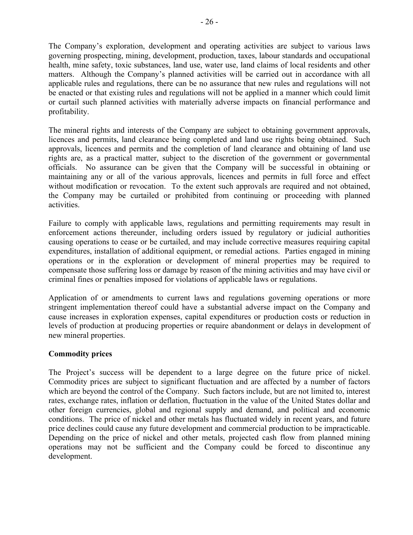The Company's exploration, development and operating activities are subject to various laws governing prospecting, mining, development, production, taxes, labour standards and occupational health, mine safety, toxic substances, land use, water use, land claims of local residents and other matters. Although the Company's planned activities will be carried out in accordance with all applicable rules and regulations, there can be no assurance that new rules and regulations will not be enacted or that existing rules and regulations will not be applied in a manner which could limit or curtail such planned activities with materially adverse impacts on financial performance and profitability.

The mineral rights and interests of the Company are subject to obtaining government approvals, licences and permits, land clearance being completed and land use rights being obtained. Such approvals, licences and permits and the completion of land clearance and obtaining of land use rights are, as a practical matter, subject to the discretion of the government or governmental officials. No assurance can be given that the Company will be successful in obtaining or maintaining any or all of the various approvals, licences and permits in full force and effect without modification or revocation. To the extent such approvals are required and not obtained, the Company may be curtailed or prohibited from continuing or proceeding with planned activities.

Failure to comply with applicable laws, regulations and permitting requirements may result in enforcement actions thereunder, including orders issued by regulatory or judicial authorities causing operations to cease or be curtailed, and may include corrective measures requiring capital expenditures, installation of additional equipment, or remedial actions. Parties engaged in mining operations or in the exploration or development of mineral properties may be required to compensate those suffering loss or damage by reason of the mining activities and may have civil or criminal fines or penalties imposed for violations of applicable laws or regulations.

Application of or amendments to current laws and regulations governing operations or more stringent implementation thereof could have a substantial adverse impact on the Company and cause increases in exploration expenses, capital expenditures or production costs or reduction in levels of production at producing properties or require abandonment or delays in development of new mineral properties.

### **Commodity prices**

The Project's success will be dependent to a large degree on the future price of nickel. Commodity prices are subject to significant fluctuation and are affected by a number of factors which are beyond the control of the Company. Such factors include, but are not limited to, interest rates, exchange rates, inflation or deflation, fluctuation in the value of the United States dollar and other foreign currencies, global and regional supply and demand, and political and economic conditions. The price of nickel and other metals has fluctuated widely in recent years, and future price declines could cause any future development and commercial production to be impracticable. Depending on the price of nickel and other metals, projected cash flow from planned mining operations may not be sufficient and the Company could be forced to discontinue any development.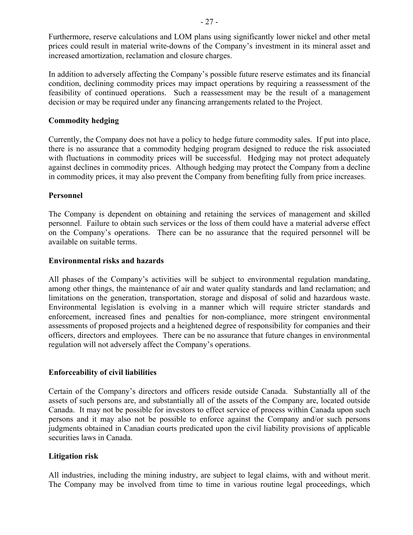Furthermore, reserve calculations and LOM plans using significantly lower nickel and other metal prices could result in material write-downs of the Company's investment in its mineral asset and increased amortization, reclamation and closure charges.

In addition to adversely affecting the Company's possible future reserve estimates and its financial condition, declining commodity prices may impact operations by requiring a reassessment of the feasibility of continued operations. Such a reassessment may be the result of a management decision or may be required under any financing arrangements related to the Project.

### **Commodity hedging**

Currently, the Company does not have a policy to hedge future commodity sales. If put into place, there is no assurance that a commodity hedging program designed to reduce the risk associated with fluctuations in commodity prices will be successful. Hedging may not protect adequately against declines in commodity prices. Although hedging may protect the Company from a decline in commodity prices, it may also prevent the Company from benefiting fully from price increases.

### **Personnel**

The Company is dependent on obtaining and retaining the services of management and skilled personnel. Failure to obtain such services or the loss of them could have a material adverse effect on the Company's operations. There can be no assurance that the required personnel will be available on suitable terms.

#### **Environmental risks and hazards**

All phases of the Company's activities will be subject to environmental regulation mandating, among other things, the maintenance of air and water quality standards and land reclamation; and limitations on the generation, transportation, storage and disposal of solid and hazardous waste. Environmental legislation is evolving in a manner which will require stricter standards and enforcement, increased fines and penalties for non-compliance, more stringent environmental assessments of proposed projects and a heightened degree of responsibility for companies and their officers, directors and employees. There can be no assurance that future changes in environmental regulation will not adversely affect the Company's operations.

#### **Enforceability of civil liabilities**

Certain of the Company's directors and officers reside outside Canada. Substantially all of the assets of such persons are, and substantially all of the assets of the Company are, located outside Canada. It may not be possible for investors to effect service of process within Canada upon such persons and it may also not be possible to enforce against the Company and/or such persons judgments obtained in Canadian courts predicated upon the civil liability provisions of applicable securities laws in Canada.

#### **Litigation risk**

All industries, including the mining industry, are subject to legal claims, with and without merit. The Company may be involved from time to time in various routine legal proceedings, which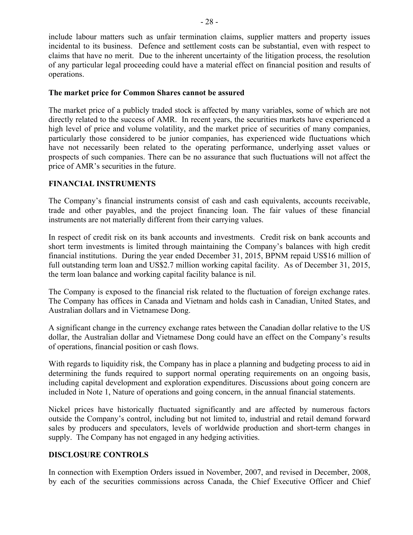include labour matters such as unfair termination claims, supplier matters and property issues incidental to its business. Defence and settlement costs can be substantial, even with respect to claims that have no merit. Due to the inherent uncertainty of the litigation process, the resolution of any particular legal proceeding could have a material effect on financial position and results of operations.

#### **The market price for Common Shares cannot be assured**

The market price of a publicly traded stock is affected by many variables, some of which are not directly related to the success of AMR. In recent years, the securities markets have experienced a high level of price and volume volatility, and the market price of securities of many companies, particularly those considered to be junior companies, has experienced wide fluctuations which have not necessarily been related to the operating performance, underlying asset values or prospects of such companies. There can be no assurance that such fluctuations will not affect the price of AMR's securities in the future.

### **FINANCIAL INSTRUMENTS**

The Company's financial instruments consist of cash and cash equivalents, accounts receivable, trade and other payables, and the project financing loan. The fair values of these financial instruments are not materially different from their carrying values.

In respect of credit risk on its bank accounts and investments. Credit risk on bank accounts and short term investments is limited through maintaining the Company's balances with high credit financial institutions. During the year ended December 31, 2015, BPNM repaid US\$16 million of full outstanding term loan and US\$2.7 million working capital facility. As of December 31, 2015, the term loan balance and working capital facility balance is nil.

The Company is exposed to the financial risk related to the fluctuation of foreign exchange rates. The Company has offices in Canada and Vietnam and holds cash in Canadian, United States, and Australian dollars and in Vietnamese Dong.

A significant change in the currency exchange rates between the Canadian dollar relative to the US dollar, the Australian dollar and Vietnamese Dong could have an effect on the Company's results of operations, financial position or cash flows.

With regards to liquidity risk, the Company has in place a planning and budgeting process to aid in determining the funds required to support normal operating requirements on an ongoing basis, including capital development and exploration expenditures. Discussions about going concern are included in Note 1, Nature of operations and going concern, in the annual financial statements.

Nickel prices have historically fluctuated significantly and are affected by numerous factors outside the Company's control, including but not limited to, industrial and retail demand forward sales by producers and speculators, levels of worldwide production and short-term changes in supply. The Company has not engaged in any hedging activities.

### **DISCLOSURE CONTROLS**

In connection with Exemption Orders issued in November, 2007, and revised in December, 2008, by each of the securities commissions across Canada, the Chief Executive Officer and Chief